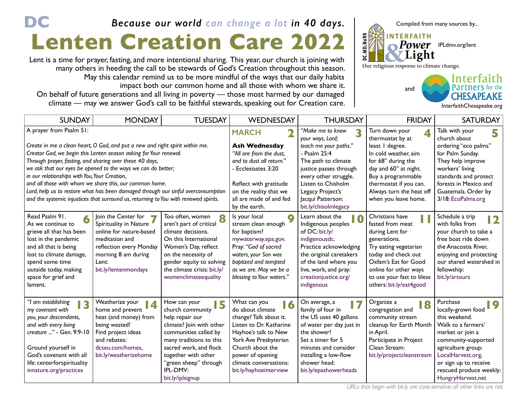## **DC Lenten Creation Care 2022** *Because our world can change a lot in 40 days.*

Lent is a time for prayer, fasting, and more intentional sharing. This year, our church is joining with many others in heeding the call to be stewards of God's Creation throughout this season. May this calendar remind us to be more mindful of the ways that our daily habits impact both our common home and all those with whom we share it. On behalf of future generations and all living in poverty — those most harmed by our damaged climate — may we answer God's call to be faithful stewards, speaking out for Creation care.



[InterfaithChesapeake.org](http://InterfaithChesapeake.org)

| <b>SUNDAY</b>                                                                                                                                                                                                                                                                                                                                                                                                                                                                                                                                                                                     | <b>MONDAY</b>                                                                                                                                                                       | <b>TUESDAY</b>                                                                                                                                                                                                                                     | WEDNESDAY                                                                                                                                                                                                                                | <b>THURSDAY</b>                                                                                                                                                                                                                                     | <b>FRIDAY</b>                                                                                                                                                                                                                    | <b>SATURDAY</b>                                                                                                                                                                                                                            |
|---------------------------------------------------------------------------------------------------------------------------------------------------------------------------------------------------------------------------------------------------------------------------------------------------------------------------------------------------------------------------------------------------------------------------------------------------------------------------------------------------------------------------------------------------------------------------------------------------|-------------------------------------------------------------------------------------------------------------------------------------------------------------------------------------|----------------------------------------------------------------------------------------------------------------------------------------------------------------------------------------------------------------------------------------------------|------------------------------------------------------------------------------------------------------------------------------------------------------------------------------------------------------------------------------------------|-----------------------------------------------------------------------------------------------------------------------------------------------------------------------------------------------------------------------------------------------------|----------------------------------------------------------------------------------------------------------------------------------------------------------------------------------------------------------------------------------|--------------------------------------------------------------------------------------------------------------------------------------------------------------------------------------------------------------------------------------------|
| A prayer from Psalm 51:<br>Create in me a clean heart, O God, and put a new and right spirit within me.<br>Creator God, we begin this Lenten season asking for Your renewal.<br>Through prayer, fasting, and sharing over these 40 days,<br>we ask that our eyes be opened to the ways we can do better;<br>in our relationships with You, Your Creation,<br>and all those with whom we share this, our common home.<br>Lord, help us to restore what has been damaged through our sinful overconsumption<br>and the systemic injustices that surround us, returning to You with renewed spirits. |                                                                                                                                                                                     |                                                                                                                                                                                                                                                    | <b>MARCH</b><br><b>Ash Wednesday</b><br>"All are from the dust,<br>and to dust all return."<br>- Ecclesiastes 3:20<br>Reflect with gratitude<br>on the reality that we<br>all are made of and fed                                        | "Make me to know<br>your ways, Lord;<br>teach me your paths."<br>- Psalm 25:4<br>The path to climate<br>justice passes through<br>every other struggle.<br>Listen to Chisholm<br>Legacy Project's<br>Jacqui Patterson:                              | Turn down your<br>thermostat by at<br>least I degree.<br>In cold weather, aim<br>for 68° during the<br>day and 60° at night.<br>Buy a programmable<br>thermostat if you can.<br>Always turn the heat off<br>when you leave home. | Talk with your<br>church about<br>ordering "eco palms"<br>for Palm Sunday.<br>They help improve<br>workers' living<br>standards and protect<br>forests in Mexico and<br>Guatemala. Order by<br>3/18: EcoPalms.org                          |
| Read Psalm 91.<br>As we continue to<br>grieve all that has been<br>lost in the pandemic<br>and all that is being<br>lost to climate damage,<br>spend some time<br>outside today, making<br>space for grief and<br>lament.                                                                                                                                                                                                                                                                                                                                                                         | Join the Center for<br>ь,<br>Spirituality in Nature<br>online for nature-based<br>meditation and<br>reflection every Monday<br>morning 8 am during<br>Lent:<br>bit.ly/lentenmondays | Too often, women<br>8<br>aren't part of critical<br>climate decisions.<br>On this International<br>Women's Day, reflect<br>on the necessity of<br>gender equity to solving<br>the climate crisis: bit.ly/<br>womenclimateequality                  | by the earth.<br>Is your local<br>$\bullet$<br>stream clean enough<br>for baptism?<br>mywaterway.epa.gov.<br>Pray: "God of sacred<br>waters, your Son was<br>baptized and tempted<br>as we are. May we be a<br>blessing to Your waters." | bit.ly/chisolmlegacy<br>Learn about the<br>10<br>Indigenous peoples<br>of DC: bit.ly/<br>indigenousdc.<br>Practice acknowledging<br>the original caretakers<br>of the land where you<br>live, work, and pray:<br>creationjustice.org/<br>indigenous | Christians have<br>fasted from meat<br>during Lent for<br>generations.<br>Try eating vegetarian<br>today and check out<br>Oxfam's Eat for Good<br>online for other ways<br>to use your fast to bless<br>others: bit.ly/eat4good  | Schedule a trip<br>12<br>with folks from<br>your church to take a<br>free boat ride down<br>the Anacostia River,<br>enjoying and protecting<br>our shared watershed in<br>fellowship:<br>bit.ly/artours                                    |
| "I am establishing<br>13<br>my covenant with<br>you, your descendants,<br>and with every living<br>creature " - Gen. 9:9-10<br>Ground yourself in<br>God's covenant with all<br>life: centerforspirituality<br>innature.org/practices                                                                                                                                                                                                                                                                                                                                                             | Weatherize your<br>14<br>home and prevent<br>heat (and money) from<br>being wasted!<br>Find project ideas<br>and rebates:<br>dcseu.com/homes.<br>bit.ly/weatherizehome              | How can your<br>5<br>church community<br>help repair our<br>climate? Join with other<br>communities called by<br>many traditions to this<br>sacred work, and flock<br>together with other<br>"green sheep" through<br>IPL-DMV:<br>bit.ly/iplsignup | What can you<br>do about climate<br>change? Talk about it.<br>Listen to Dr. Katharine<br>Hayhoe's talk to New<br>York Ave Presbyterian<br>Church about the<br>power of opening<br>climate conversations:<br>bit.ly/hayhoeinterview       | On average, a<br>17<br>family of four in<br>the US uses 40 gallons<br>of water per day just in<br>the shower!<br>Set a timer for 5<br>minutes and consider<br>installing a low-flow<br>shower head:<br>bit.ly/epashowerheads                        | Organize a<br>18<br>congregation and<br>community stream<br>cleanup for Earth Month<br>in April.<br>Participate in Project<br>Clean Stream:<br>bit.ly/projectcleanstream                                                         | Purchase<br>19<br>locally-grown food<br>this weekend.<br>Walk to a farmers'<br>market or join a<br>community-supported<br>agriculture group:<br>LocalHarvest.org,<br>or sign up to receive<br>rescued produce weekly:<br>HungryHarvest.net |